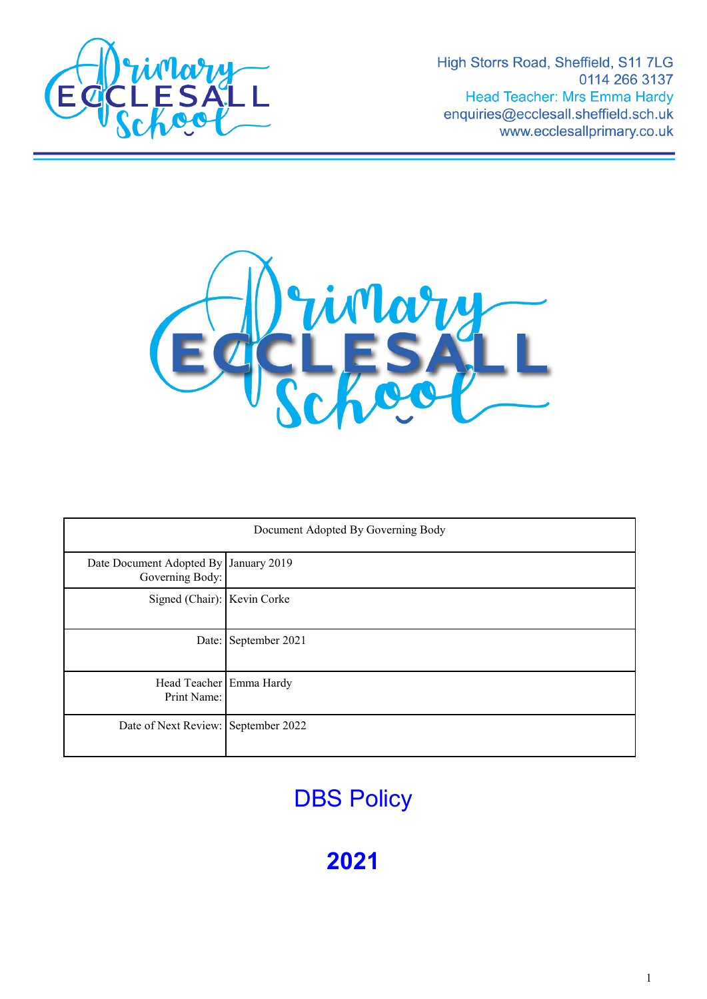

High Storrs Road, Sheffield, S11 7LG 0114 266 3137 Head Teacher: Mrs Emma Hardy enquiries@ecclesall.sheffield.sch.uk www.ecclesallprimary.co.uk



| Document Adopted By Governing Body                       |                      |
|----------------------------------------------------------|----------------------|
| Date Document Adopted By January 2019<br>Governing Body: |                      |
| Signed (Chair): Kevin Corke                              |                      |
|                                                          | Date: September 2021 |
| Head Teacher Emma Hardy<br>Print Name:                   |                      |
| Date of Next Review: September 2022                      |                      |

# **DBS Policy**

**2021**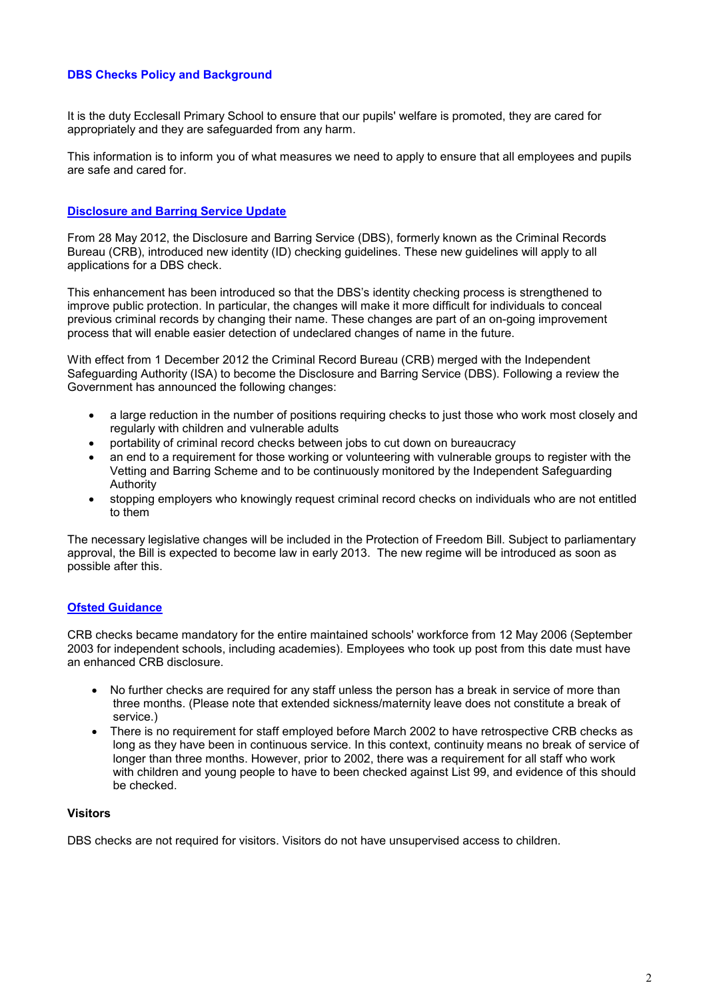# **DBS Checks Policy and Background**

It is the duty Ecclesall Primary School to ensure that our pupils' welfare is promoted, they are cared for appropriately and they are safeguarded from any harm.

This information is to inform you of what measures we need to apply to ensure that all employees and pupils are safe and cared for.

## **Disclosure and Barring Service Update**

From 28 May 2012, the Disclosure and Barring Service (DBS), formerly known as the Criminal Records Bureau (CRB), introduced new identity (ID) checking guidelines. These new guidelines will apply to all applications for a DBS check.

This enhancement has been introduced so that the DBS's identity checking process is strengthened to improve public protection. In particular, the changes will make it more difficult for individuals to conceal previous criminal records by changing their name. These changes are part of an on-going improvement process that will enable easier detection of undeclared changes of name in the future.

With effect from 1 December 2012 the Criminal Record Bureau (CRB) merged with the Independent Safeguarding Authority (ISA) to become the Disclosure and Barring Service (DBS). Following a review the Government has announced the following changes:

- a large reduction in the number of positions requiring checks to just those who work most closely and regularly with children and vulnerable adults
- portability of criminal record checks between jobs to cut down on bureaucracy
- an end to a requirement for those working or volunteering with vulnerable groups to register with the Vetting and Barring Scheme and to be continuously monitored by the Independent Safeguarding Authority
- stopping employers who knowingly request criminal record checks on individuals who are not entitled to them

The necessary legislative changes will be included in the Protection of Freedom Bill. Subject to parliamentary approval, the Bill is expected to become law in early 2013. The new regime will be introduced as soon as possible after this.

#### **Ofsted Guidance**

CRB checks became mandatory for the entire maintained schools' workforce from 12 May 2006 (September 2003 for independent schools, including academies). Employees who took up post from this date must have an enhanced CRB disclosure.

- No further checks are required for any staff unless the person has a break in service of more than three months. (Please note that extended sickness/maternity leave does not constitute a break of service.)
- There is no requirement for staff employed before March 2002 to have retrospective CRB checks as long as they have been in continuous service. In this context, continuity means no break of service of longer than three months. However, prior to 2002, there was a requirement for all staff who work with children and young people to have to been checked against List 99, and evidence of this should be checked.

# **Visitors**

DBS checks are not required for visitors. Visitors do not have unsupervised access to children.